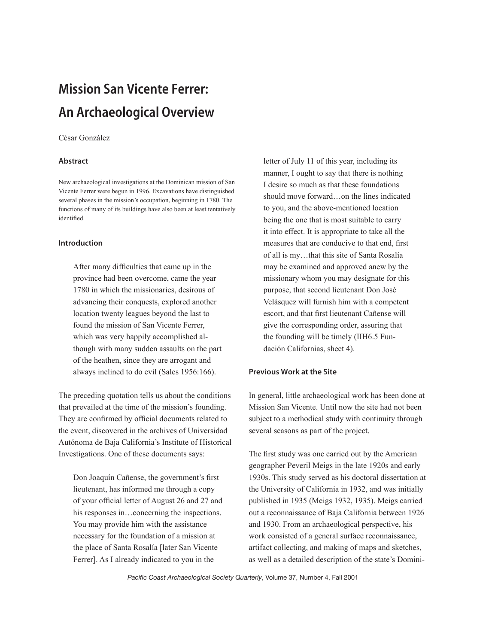# Mission San Vicente Ferrer: An Archaeological Overview

### César González

# Abstract

New archaeological investigations at the Dominican mission of San Vicente Ferrer were begun in 1996. Excavations have distinguished several phases in the mission's occupation, beginning in 1780. The functions of many of its buildings have also been at least tentatively identified.

## Introduction

After many difficulties that came up in the province had been overcome, came the year 1780 in which the missionaries, desirous of advancing their conquests, explored another location twenty leagues beyond the last to found the mission of San Vicente Ferrer, which was very happily accomplished although with many sudden assaults on the part of the heathen, since they are arrogant and always inclined to do evil (Sales 1956:166).

The preceding quotation tells us about the conditions that prevailed at the time of the mission's founding. They are confirmed by official documents related to the event, discovered in the archives of Universidad Autónoma de Baja California's Institute of Historical Investigations. One of these documents says:

Don Joaquín Cañense, the government's first lieutenant, has informed me through a copy of your official letter of August 26 and 27 and his responses in...concerning the inspections. You may provide him with the assistance necessary for the foundation of a mission at the place of Santa Rosalía [later San Vicente Ferrer]. As I already indicated to you in the

letter of July 11 of this year, including its manner, I ought to say that there is nothing I desire so much as that these foundations should move forward…on the lines indicated to you, and the above-mentioned location being the one that is most suitable to carry it into effect. It is appropriate to take all the measures that are conducive to that end, first of all is my…that this site of Santa Rosalía may be examined and approved anew by the missionary whom you may designate for this purpose, that second lieutenant Don José Velásquez will furnish him with a competent escort, and that first lieutenant Cañense will give the corresponding order, assuring that the founding will be timely (IIH6.5 Fundación Californias, sheet 4).

# Previous Work at the Site

In general, little archaeological work has been done at Mission San Vicente. Until now the site had not been subject to a methodical study with continuity through several seasons as part of the project.

The first study was one carried out by the American geographer Peveril Meigs in the late 1920s and early 1930s. This study served as his doctoral dissertation at the University of California in 1932, and was initially published in 1935 (Meigs 1932, 1935). Meigs carried out a reconnaissance of Baja California between 1926 and 1930. From an archaeological perspective, his work consisted of a general surface reconnaissance, artifact collecting, and making of maps and sketches, as well as a detailed description of the state's Domini-

*Pacific Coast Archaeological Society Quarterly*, Volume 37, Number 4, Fall 2001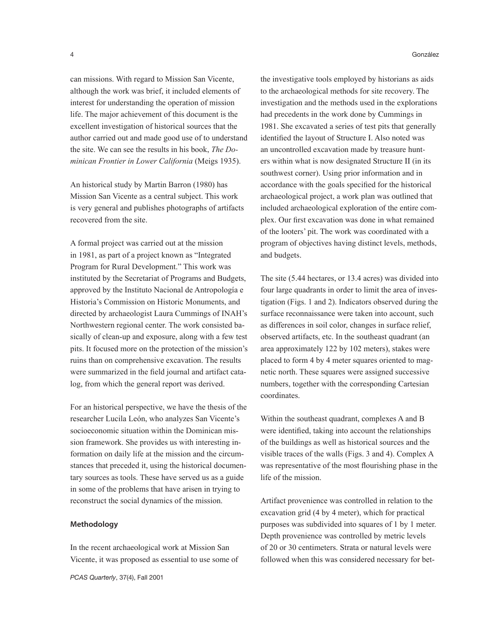can missions. With regard to Mission San Vicente, although the work was brief, it included elements of interest for understanding the operation of mission life. The major achievement of this document is the excellent investigation of historical sources that the author carried out and made good use of to understand the site. We can see the results in his book, *The Dominican Frontier in Lower California* (Meigs 1935).

An historical study by Martin Barron (1980) has Mission San Vicente as a central subject. This work is very general and publishes photographs of artifacts recovered from the site.

A formal project was carried out at the mission in 1981, as part of a project known as "Integrated Program for Rural Development." This work was instituted by the Secretariat of Programs and Budgets, approved by the Instituto Nacional de Antropología e Historia's Commission on Historic Monuments, and directed by archaeologist Laura Cummings of INAH's Northwestern regional center. The work consisted basically of clean-up and exposure, along with a few test pits. It focused more on the protection of the mission's ruins than on comprehensive excavation. The results were summarized in the field journal and artifact catalog, from which the general report was derived.

For an historical perspective, we have the thesis of the researcher Lucila León, who analyzes San Vicente's socioeconomic situation within the Dominican mission framework. She provides us with interesting information on daily life at the mission and the circumstances that preceded it, using the historical documentary sources as tools. These have served us as a guide in some of the problems that have arisen in trying to reconstruct the social dynamics of the mission.

### Methodology

In the recent archaeological work at Mission San Vicente, it was proposed as essential to use some of

*PCAS Quarterly*, 37(4), Fall 2001

the investigative tools employed by historians as aids to the archaeological methods for site recovery. The investigation and the methods used in the explorations had precedents in the work done by Cummings in 1981. She excavated a series of test pits that generally identified the layout of Structure I. Also noted was an uncontrolled excavation made by treasure hunters within what is now designated Structure II (in its southwest corner). Using prior information and in accordance with the goals specified for the historical archaeological project, a work plan was outlined that included archaeological exploration of the entire complex. Our first excavation was done in what remained of the looters' pit. The work was coordinated with a program of objectives having distinct levels, methods, and budgets.

The site (5.44 hectares, or 13.4 acres) was divided into four large quadrants in order to limit the area of investigation (Figs. 1 and 2). Indicators observed during the surface reconnaissance were taken into account, such as differences in soil color, changes in surface relief, observed artifacts, etc. In the southeast quadrant (an area approximately 122 by 102 meters), stakes were placed to form 4 by 4 meter squares oriented to magnetic north. These squares were assigned successive numbers, together with the corresponding Cartesian coordinates.

Within the southeast quadrant, complexes A and B were identified, taking into account the relationships of the buildings as well as historical sources and the visible traces of the walls (Figs. 3 and 4). Complex A was representative of the most flourishing phase in the life of the mission.

Artifact provenience was controlled in relation to the excavation grid (4 by 4 meter), which for practical purposes was subdivided into squares of 1 by 1 meter. Depth provenience was controlled by metric levels of 20 or 30 centimeters. Strata or natural levels were followed when this was considered necessary for bet-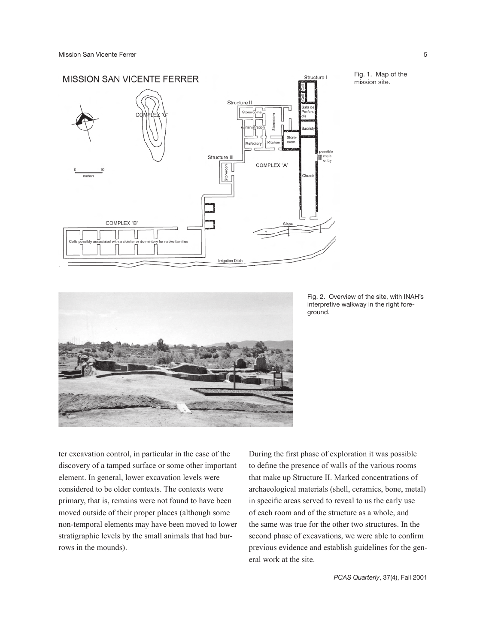

Fig. 1. Map of the mission site.



Fig. 2. Overview of the site, with INAH's interpretive walkway in the right foreground.

ter excavation control, in particular in the case of the discovery of a tamped surface or some other important element. In general, lower excavation levels were considered to be older contexts. The contexts were primary, that is, remains were not found to have been moved outside of their proper places (although some non-temporal elements may have been moved to lower stratigraphic levels by the small animals that had burrows in the mounds).

During the first phase of exploration it was possible to define the presence of walls of the various rooms that make up Structure II. Marked concentrations of archaeological materials (shell, ceramics, bone, metal) in specific areas served to reveal to us the early use of each room and of the structure as a whole, and the same was true for the other two structures. In the second phase of excavations, we were able to confirm previous evidence and establish guidelines for the general work at the site.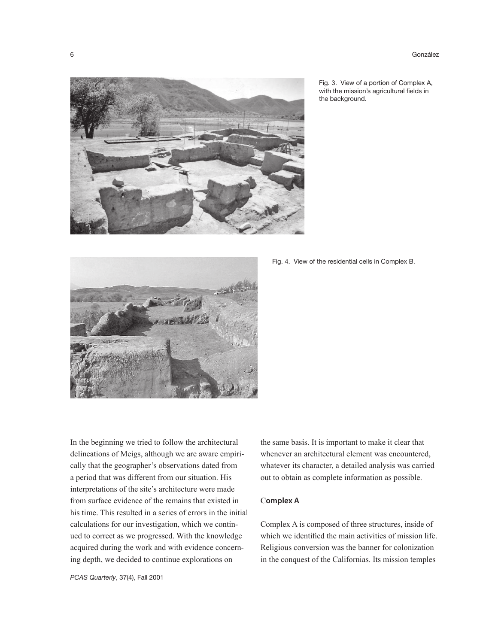

Fig. 3. View of a portion of Complex A, with the mission's agricultural fields in the background.



Fig. 4. View of the residential cells in Complex B.

In the beginning we tried to follow the architectural delineations of Meigs, although we are aware empirically that the geographer's observations dated from a period that was different from our situation. His interpretations of the site's architecture were made from surface evidence of the remains that existed in his time. This resulted in a series of errors in the initial calculations for our investigation, which we continued to correct as we progressed. With the knowledge acquired during the work and with evidence concerning depth, we decided to continue explorations on

*PCAS Quarterly*, 37(4), Fall 2001

the same basis. It is important to make it clear that whenever an architectural element was encountered, whatever its character, a detailed analysis was carried out to obtain as complete information as possible.

# Complex A

Complex A is composed of three structures, inside of which we identified the main activities of mission life. Religious conversion was the banner for colonization in the conquest of the Californias. Its mission temples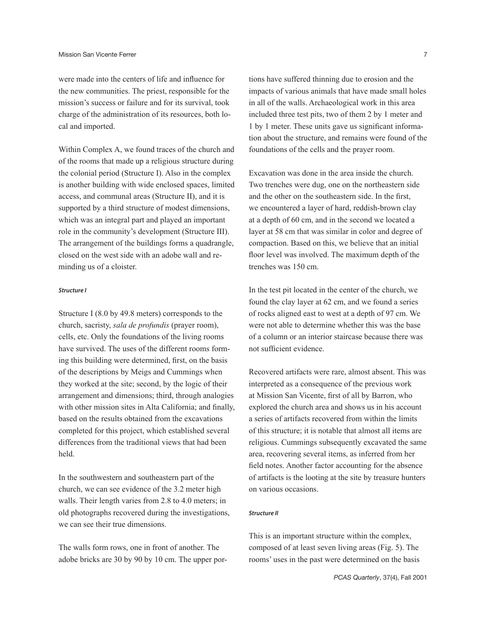were made into the centers of life and influence for the new communities. The priest, responsible for the mission's success or failure and for its survival, took charge of the administration of its resources, both local and imported.

Within Complex A, we found traces of the church and of the rooms that made up a religious structure during the colonial period (Structure I). Also in the complex is another building with wide enclosed spaces, limited access, and communal areas (Structure II), and it is supported by a third structure of modest dimensions, which was an integral part and played an important role in the community's development (Structure III). The arrangement of the buildings forms a quadrangle, closed on the west side with an adobe wall and reminding us of a cloister.

### Structure I

Structure I (8.0 by 49.8 meters) corresponds to the church, sacristy, *sala de profundis* (prayer room), cells, etc. Only the foundations of the living rooms have survived. The uses of the different rooms forming this building were determined, first, on the basis of the descriptions by Meigs and Cummings when they worked at the site; second, by the logic of their arrangement and dimensions; third, through analogies with other mission sites in Alta California; and finally, based on the results obtained from the excavations completed for this project, which established several differences from the traditional views that had been held.

In the southwestern and southeastern part of the church, we can see evidence of the 3.2 meter high walls. Their length varies from 2.8 to 4.0 meters; in old photographs recovered during the investigations, we can see their true dimensions.

The walls form rows, one in front of another. The adobe bricks are 30 by 90 by 10 cm. The upper portions have suffered thinning due to erosion and the impacts of various animals that have made small holes in all of the walls. Archaeological work in this area included three test pits, two of them 2 by 1 meter and 1 by 1 meter. These units gave us significant information about the structure, and remains were found of the foundations of the cells and the prayer room.

Excavation was done in the area inside the church. Two trenches were dug, one on the northeastern side and the other on the southeastern side. In the first, we encountered a layer of hard, reddish-brown clay at a depth of 60 cm, and in the second we located a layer at 58 cm that was similar in color and degree of compaction. Based on this, we believe that an initial floor level was involved. The maximum depth of the trenches was 150 cm.

In the test pit located in the center of the church, we found the clay layer at 62 cm, and we found a series of rocks aligned east to west at a depth of 97 cm. We were not able to determine whether this was the base of a column or an interior staircase because there was not sufficient evidence.

Recovered artifacts were rare, almost absent. This was interpreted as a consequence of the previous work at Mission San Vicente, first of all by Barron, who explored the church area and shows us in his account a series of artifacts recovered from within the limits of this structure; it is notable that almost all items are religious. Cummings subsequently excavated the same area, recovering several items, as inferred from her field notes. Another factor accounting for the absence of artifacts is the looting at the site by treasure hunters on various occasions.

#### Structure II

This is an important structure within the complex, composed of at least seven living areas (Fig. 5). The rooms' uses in the past were determined on the basis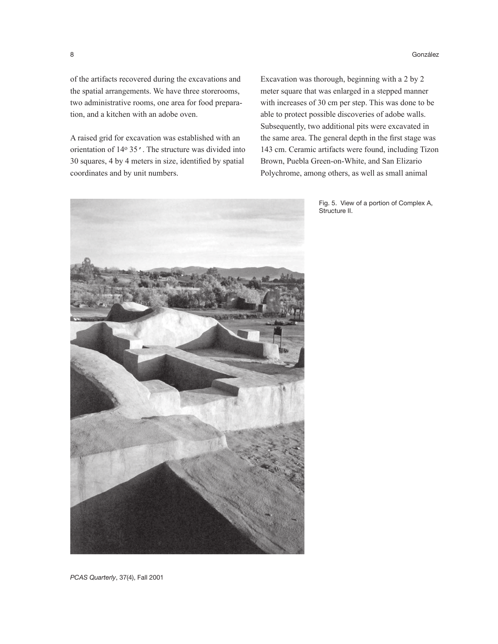of the artifacts recovered during the excavations and the spatial arrangements. We have three storerooms, two administrative rooms, one area for food preparation, and a kitchen with an adobe oven.

A raised grid for excavation was established with an orientation of 14o 35'. The structure was divided into 30 squares, 4 by 4 meters in size, identified by spatial coordinates and by unit numbers.

Excavation was thorough, beginning with a 2 by 2 meter square that was enlarged in a stepped manner with increases of 30 cm per step. This was done to be able to protect possible discoveries of adobe walls. Subsequently, two additional pits were excavated in the same area. The general depth in the first stage was 143 cm. Ceramic artifacts were found, including Tizon Brown, Puebla Green-on-White, and San Elizario Polychrome, among others, as well as small animal



Fig. 5. View of a portion of Complex A, Structure II.

*PCAS Quarterly*, 37(4), Fall 2001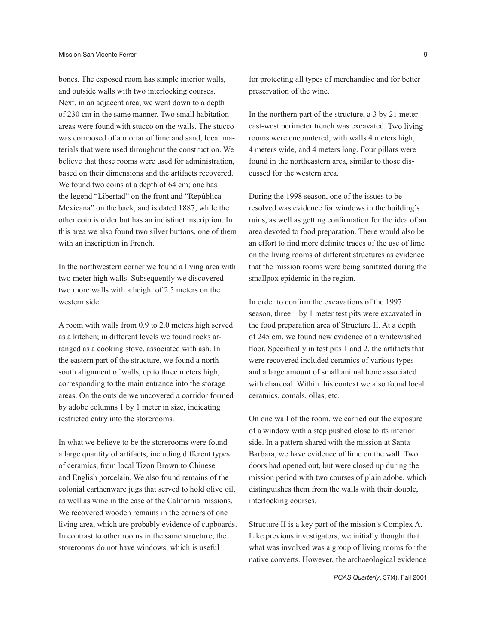bones. The exposed room has simple interior walls, and outside walls with two interlocking courses. Next, in an adjacent area, we went down to a depth of 230 cm in the same manner. Two small habitation areas were found with stucco on the walls. The stucco was composed of a mortar of lime and sand, local materials that were used throughout the construction. We believe that these rooms were used for administration, based on their dimensions and the artifacts recovered. We found two coins at a depth of 64 cm; one has the legend "Libertad" on the front and "República Mexicana" on the back, and is dated 1887, while the other coin is older but has an indistinct inscription. In this area we also found two silver buttons, one of them with an inscription in French.

In the northwestern corner we found a living area with two meter high walls. Subsequently we discovered two more walls with a height of 2.5 meters on the western side.

A room with walls from 0.9 to 2.0 meters high served as a kitchen; in different levels we found rocks arranged as a cooking stove, associated with ash. In the eastern part of the structure, we found a northsouth alignment of walls, up to three meters high, corresponding to the main entrance into the storage areas. On the outside we uncovered a corridor formed by adobe columns 1 by 1 meter in size, indicating restricted entry into the storerooms.

In what we believe to be the storerooms were found a large quantity of artifacts, including different types of ceramics, from local Tizon Brown to Chinese and English porcelain. We also found remains of the colonial earthenware jugs that served to hold olive oil, as well as wine in the case of the California missions. We recovered wooden remains in the corners of one living area, which are probably evidence of cupboards. In contrast to other rooms in the same structure, the storerooms do not have windows, which is useful

for protecting all types of merchandise and for better preservation of the wine.

In the northern part of the structure, a 3 by 21 meter east-west perimeter trench was excavated. Two living rooms were encountered, with walls 4 meters high, 4 meters wide, and 4 meters long. Four pillars were found in the northeastern area, similar to those discussed for the western area.

During the 1998 season, one of the issues to be resolved was evidence for windows in the building's ruins, as well as getting confirmation for the idea of an area devoted to food preparation. There would also be an effort to find more definite traces of the use of lime on the living rooms of different structures as evidence that the mission rooms were being sanitized during the smallpox epidemic in the region.

In order to confirm the excavations of the 1997 season, three 1 by 1 meter test pits were excavated in the food preparation area of Structure II. At a depth of 245 cm, we found new evidence of a whitewashed floor. Specifically in test pits 1 and 2, the artifacts that were recovered included ceramics of various types and a large amount of small animal bone associated with charcoal. Within this context we also found local ceramics, comals, ollas, etc.

On one wall of the room, we carried out the exposure of a window with a step pushed close to its interior side. In a pattern shared with the mission at Santa Barbara, we have evidence of lime on the wall. Two doors had opened out, but were closed up during the mission period with two courses of plain adobe, which distinguishes them from the walls with their double, interlocking courses.

Structure II is a key part of the mission's Complex A. Like previous investigators, we initially thought that what was involved was a group of living rooms for the native converts. However, the archaeological evidence